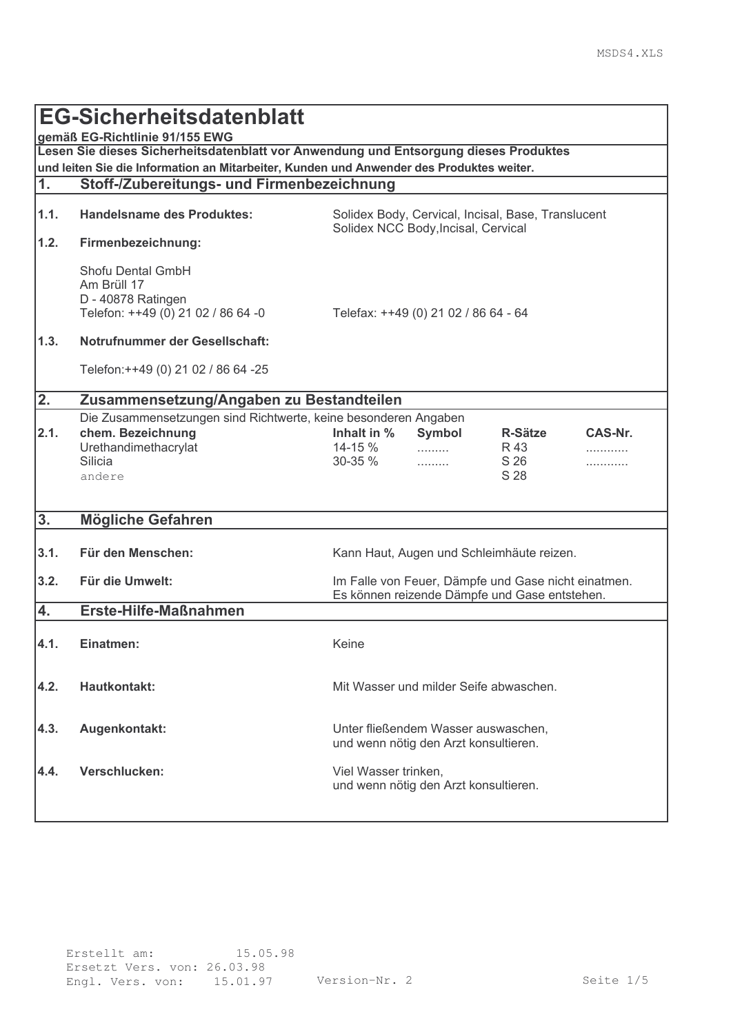|                                                                                                                        | <b>EG-Sicherheitsdatenblatt</b>                                                                                                   |                                                                                                                      |  |  |  |
|------------------------------------------------------------------------------------------------------------------------|-----------------------------------------------------------------------------------------------------------------------------------|----------------------------------------------------------------------------------------------------------------------|--|--|--|
| gemäß EG-Richtlinie 91/155 EWG<br>Lesen Sie dieses Sicherheitsdatenblatt vor Anwendung und Entsorgung dieses Produktes |                                                                                                                                   |                                                                                                                      |  |  |  |
|                                                                                                                        | und leiten Sie die Information an Mitarbeiter, Kunden und Anwender des Produktes weiter.                                          |                                                                                                                      |  |  |  |
| $\mathbf{1}$ .                                                                                                         | Stoff-/Zubereitungs- und Firmenbezeichnung                                                                                        |                                                                                                                      |  |  |  |
|                                                                                                                        |                                                                                                                                   |                                                                                                                      |  |  |  |
| 1.1.                                                                                                                   | <b>Handelsname des Produktes:</b><br>Solidex Body, Cervical, Incisal, Base, Translucent<br>Solidex NCC Body, Incisal, Cervical    |                                                                                                                      |  |  |  |
| 1.2.                                                                                                                   | Firmenbezeichnung:                                                                                                                |                                                                                                                      |  |  |  |
|                                                                                                                        | Shofu Dental GmbH<br>Am Brüll 17<br>D - 40878 Ratingen<br>Telefon: ++49 (0) 21 02 / 86 64 -0                                      | Telefax: ++49 (0) 21 02 / 86 64 - 64                                                                                 |  |  |  |
| 1.3.                                                                                                                   | Notrufnummer der Gesellschaft:                                                                                                    |                                                                                                                      |  |  |  |
|                                                                                                                        | Telefon: + + 49 (0) 21 02 / 86 64 - 25                                                                                            |                                                                                                                      |  |  |  |
| 2.                                                                                                                     | Zusammensetzung/Angaben zu Bestandteilen                                                                                          |                                                                                                                      |  |  |  |
| 2.1.                                                                                                                   | Die Zusammensetzungen sind Richtwerte, keine besonderen Angaben<br>chem. Bezeichnung<br>Urethandimethacrylat<br>Silicia<br>andere | Inhalt in %<br>CAS-Nr.<br>Symbol<br><b>R-Sätze</b><br>14-15 %<br>R 43<br>.<br>.<br>S 26<br>30-35 %<br>.<br>.<br>S 28 |  |  |  |
| 3.                                                                                                                     | <b>Mögliche Gefahren</b>                                                                                                          |                                                                                                                      |  |  |  |
| 3.1.                                                                                                                   | Für den Menschen:                                                                                                                 | Kann Haut, Augen und Schleimhäute reizen.                                                                            |  |  |  |
| 3.2.                                                                                                                   | <b>Für die Umwelt:</b>                                                                                                            | Im Falle von Feuer, Dämpfe und Gase nicht einatmen.<br>Es können reizende Dämpfe und Gase entstehen.                 |  |  |  |
| 4.                                                                                                                     | <b>Erste-Hilfe-Maßnahmen</b>                                                                                                      |                                                                                                                      |  |  |  |
| 4.1.                                                                                                                   | Einatmen:                                                                                                                         | Keine                                                                                                                |  |  |  |
| 4.2.                                                                                                                   | <b>Hautkontakt:</b>                                                                                                               | Mit Wasser und milder Seife abwaschen.                                                                               |  |  |  |
| 4.3.                                                                                                                   | Augenkontakt:                                                                                                                     | Unter fließendem Wasser auswaschen,<br>und wenn nötig den Arzt konsultieren.                                         |  |  |  |
| 4.4.                                                                                                                   | Verschlucken:                                                                                                                     | Viel Wasser trinken,<br>und wenn nötig den Arzt konsultieren.                                                        |  |  |  |
|                                                                                                                        |                                                                                                                                   |                                                                                                                      |  |  |  |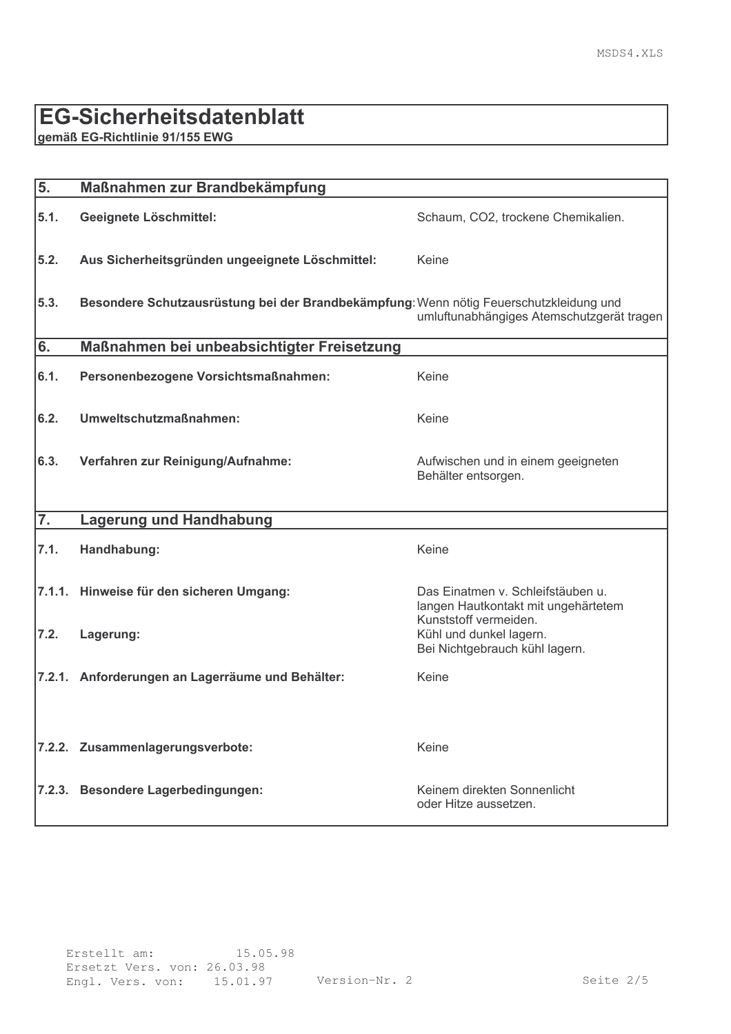#### EG-Sicherheitsdatenblatt

gemäß EG-Richtlinie 91/155 EWG

| 5.               | Maßnahmen zur Brandbekämpfung                                                                                                       |                                                                                    |  |
|------------------|-------------------------------------------------------------------------------------------------------------------------------------|------------------------------------------------------------------------------------|--|
| 5.1.             | Geeignete Löschmittel:                                                                                                              | Schaum, CO2, trockene Chemikalien.                                                 |  |
| 5.2.             | Aus Sicherheitsgründen ungeeignete Löschmittel:                                                                                     | Keine                                                                              |  |
| 5.3.             | Besondere Schutzausrüstung bei der Brandbekämpfung: Wenn nötig Feuerschutzkleidung und<br>umluftunabhängiges Atemschutzgerät tragen |                                                                                    |  |
| 6.               | Maßnahmen bei unbeabsichtigter Freisetzung                                                                                          |                                                                                    |  |
| 6.1.             | Personenbezogene Vorsichtsmaßnahmen:                                                                                                | Keine                                                                              |  |
| 6.2.             | Umweltschutzmaßnahmen:                                                                                                              | Keine                                                                              |  |
| 6.3.             | Verfahren zur Reinigung/Aufnahme:                                                                                                   | Aufwischen und in einem geeigneten<br>Behälter entsorgen.                          |  |
| $\overline{7}$ . | <b>Lagerung und Handhabung</b>                                                                                                      |                                                                                    |  |
| 7.1.             | Handhabung:                                                                                                                         | Keine                                                                              |  |
|                  | 7.1.1. Hinweise für den sicheren Umgang:                                                                                            | Das Einatmen v. Schleifstäuben u.<br>langen Hautkontakt mit ungehärtetem           |  |
| 7.2.             | Lagerung:                                                                                                                           | Kunststoff vermeiden.<br>Kühl und dunkel lagern.<br>Bei Nichtgebrauch kühl lagern. |  |
|                  | 7.2.1. Anforderungen an Lagerräume und Behälter:                                                                                    | Keine                                                                              |  |
|                  | 7.2.2. Zusammenlagerungsverbote:                                                                                                    | Keine                                                                              |  |
|                  | 7.2.3. Besondere Lagerbedingungen:                                                                                                  | Keinem direkten Sonnenlicht<br>oder Hitze aussetzen.                               |  |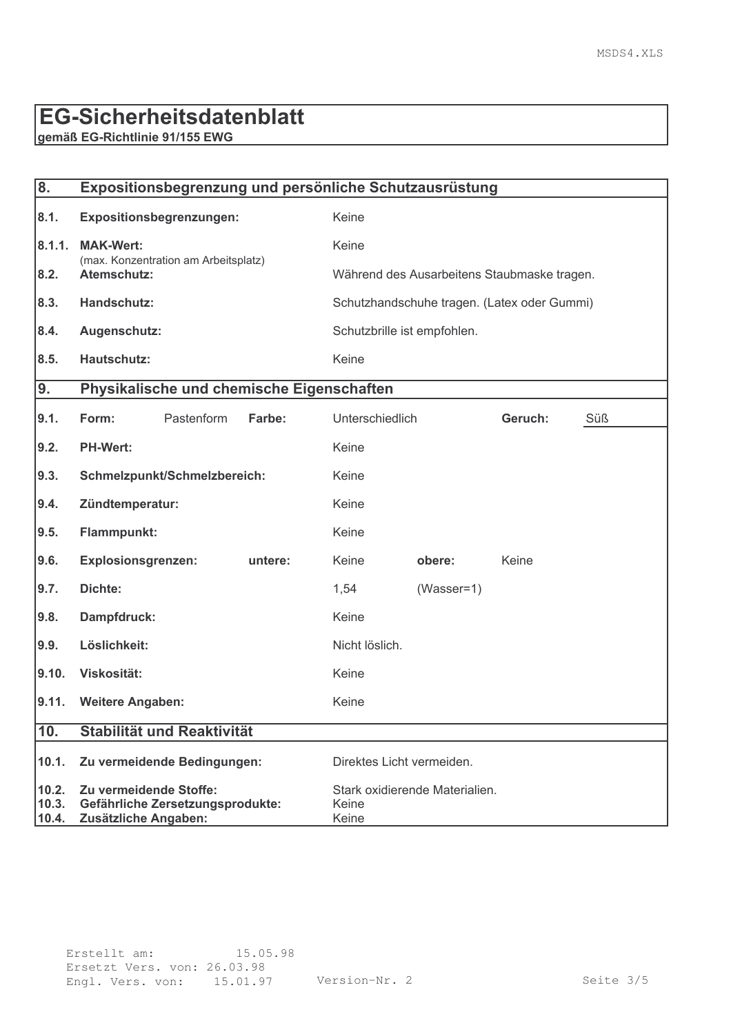# **EG-Sicherheitsdatenblatt**

gemäß EG-Richtlinie 91/155 EWG

| 8.                      | Expositionsbegrenzung und persönliche Schutzausrüstung                             |                              |                                                  |                                             |              |                                             |     |
|-------------------------|------------------------------------------------------------------------------------|------------------------------|--------------------------------------------------|---------------------------------------------|--------------|---------------------------------------------|-----|
| 8.1.                    | Expositionsbegrenzungen:                                                           |                              | Keine                                            |                                             |              |                                             |     |
| 8.1.1.                  | <b>MAK-Wert:</b><br>(max. Konzentration am Arbeitsplatz)                           |                              | Keine                                            |                                             |              |                                             |     |
| 8.2.                    | Atemschutz:                                                                        |                              |                                                  |                                             |              | Während des Ausarbeitens Staubmaske tragen. |     |
| 8.3.                    | Handschutz:                                                                        |                              |                                                  | Schutzhandschuhe tragen. (Latex oder Gummi) |              |                                             |     |
| 8.4.                    | Augenschutz:                                                                       |                              |                                                  | Schutzbrille ist empfohlen.                 |              |                                             |     |
| 8.5.                    | <b>Hautschutz:</b>                                                                 |                              | Keine                                            |                                             |              |                                             |     |
| 9.                      |                                                                                    |                              | Physikalische und chemische Eigenschaften        |                                             |              |                                             |     |
| 9.1.                    | Form:                                                                              | Pastenform                   | Farbe:                                           | Unterschiedlich                             |              | Geruch:                                     | Süß |
| 9.2.                    | <b>PH-Wert:</b>                                                                    |                              |                                                  | Keine                                       |              |                                             |     |
| 9.3.                    |                                                                                    | Schmelzpunkt/Schmelzbereich: |                                                  | Keine                                       |              |                                             |     |
| 9.4.                    | Zündtemperatur:                                                                    |                              |                                                  | Keine                                       |              |                                             |     |
| 9.5.                    | Flammpunkt:                                                                        |                              |                                                  | Keine                                       |              |                                             |     |
| 9.6.                    | <b>Explosionsgrenzen:</b>                                                          |                              | untere:                                          | Keine                                       | obere:       | Keine                                       |     |
| 9.7.                    | Dichte:                                                                            |                              |                                                  | 1,54                                        | $(Wasser=1)$ |                                             |     |
| 9.8.                    | Dampfdruck:                                                                        |                              | Keine                                            |                                             |              |                                             |     |
| 9.9.                    | Löslichkeit:                                                                       |                              | Nicht löslich.                                   |                                             |              |                                             |     |
| 9.10.                   | Viskosität:                                                                        |                              |                                                  | Keine                                       |              |                                             |     |
| 9.11.                   | <b>Weitere Angaben:</b>                                                            |                              | Keine                                            |                                             |              |                                             |     |
| 10.                     | Stabilität und Reaktivität                                                         |                              |                                                  |                                             |              |                                             |     |
| 10.1.                   | Zu vermeidende Bedingungen:                                                        |                              | Direktes Licht vermeiden.                        |                                             |              |                                             |     |
| 10.2.<br>10.3.<br>10.4. | Zu vermeidende Stoffe:<br>Gefährliche Zersetzungsprodukte:<br>Zusätzliche Angaben: |                              | Stark oxidierende Materialien.<br>Keine<br>Keine |                                             |              |                                             |     |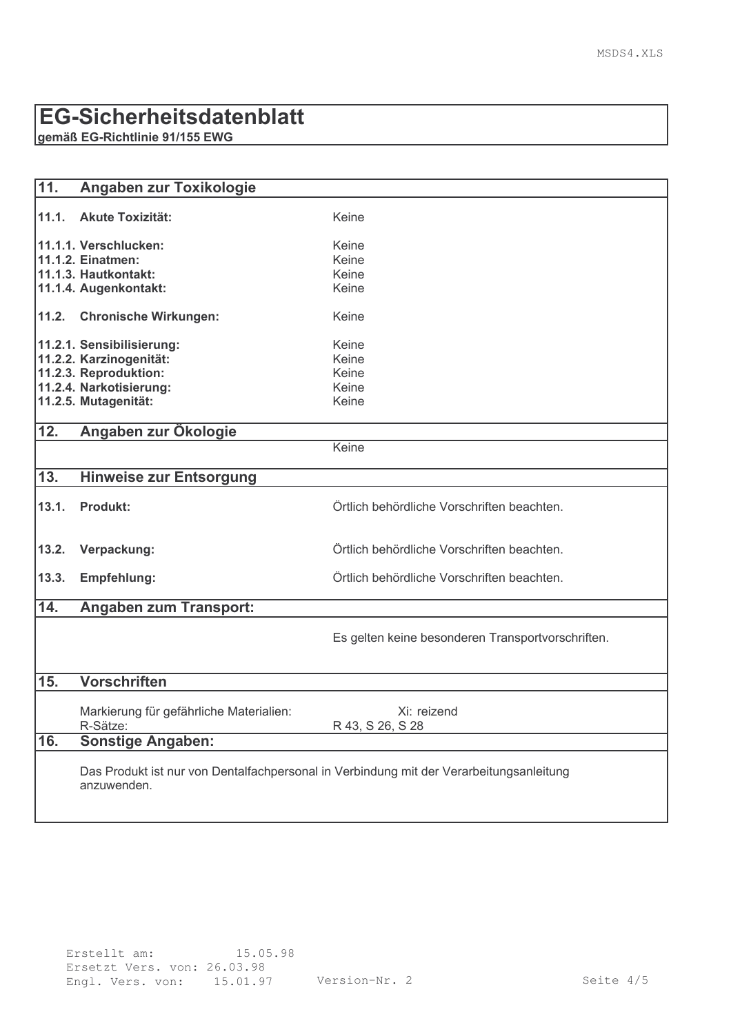### **EG-Sicherheitsdatenblatt**

gemäß EG-Richtlinie 91/155 EWG

| $\overline{11}$ . | Angaben zur Toxikologie                                                                                |                                                   |
|-------------------|--------------------------------------------------------------------------------------------------------|---------------------------------------------------|
| 11.1.             | <b>Akute Toxizität:</b>                                                                                | Keine                                             |
|                   | 11.1.1. Verschlucken:                                                                                  | Keine                                             |
|                   | 11.1.2. Einatmen:                                                                                      | Keine                                             |
|                   | 11.1.3. Hautkontakt:                                                                                   | Keine                                             |
|                   | 11.1.4. Augenkontakt:                                                                                  | Keine                                             |
|                   | 11.2. Chronische Wirkungen:                                                                            | Keine                                             |
|                   | 11.2.1. Sensibilisierung:                                                                              | Keine                                             |
|                   | 11.2.2. Karzinogenität:                                                                                | Keine                                             |
|                   | 11.2.3. Reproduktion:                                                                                  | Keine                                             |
|                   | 11.2.4. Narkotisierung:                                                                                | Keine                                             |
|                   | 11.2.5. Mutagenität:                                                                                   | Keine                                             |
| $\overline{12}$ . | Angaben zur Ökologie                                                                                   |                                                   |
|                   |                                                                                                        | Keine                                             |
| $\overline{13.}$  | <b>Hinweise zur Entsorgung</b>                                                                         |                                                   |
| 13.1.             | <b>Produkt:</b>                                                                                        | Örtlich behördliche Vorschriften beachten.        |
| 13.2.             | Verpackung:                                                                                            | Örtlich behördliche Vorschriften beachten.        |
| 13.3.             | Empfehlung:                                                                                            | Örtlich behördliche Vorschriften beachten.        |
| 14.               | <b>Angaben zum Transport:</b>                                                                          |                                                   |
|                   |                                                                                                        | Es gelten keine besonderen Transportvorschriften. |
| 15.               | <b>Vorschriften</b>                                                                                    |                                                   |
|                   | Markierung für gefährliche Materialien:<br>R-Sätze:                                                    | Xi: reizend<br>R 43, S 26, S 28                   |
| $\overline{16.}$  | <b>Sonstige Angaben:</b>                                                                               |                                                   |
|                   | Das Produkt ist nur von Dentalfachpersonal in Verbindung mit der Verarbeitungsanleitung<br>anzuwenden. |                                                   |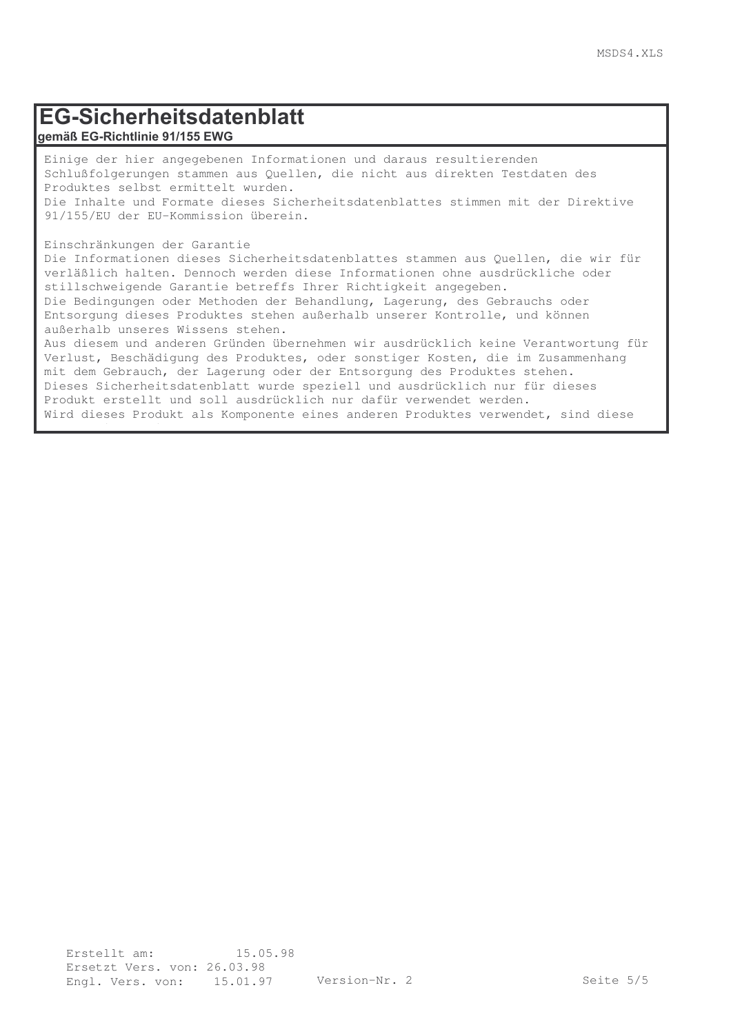#### EG-Sicherheitsdatenblatt gemäß EG-Richtlinie 91/155 EWG

Einige der hier angegebenen Informationen und daraus resultierenden Schlußfolgerungen stammen aus Quellen, die nicht aus direkten Testdaten des Produktes selbst ermittelt wurden. Die Inhalte und Formate dieses Sicherheitsdatenblattes stimmen mit der Direktive 91/155/EU der EU-Kommission überein.

Einschränkungen der Garantie

Informationen nicht anwendbar.

Die Informationen dieses Sicherheitsdatenblattes stammen aus Quellen, die wir für verläßlich halten. Dennoch werden diese Informationen ohne ausdrückliche oder stillschweigende Garantie betreffs Ihrer Richtigkeit angegeben. Die Bedingungen oder Methoden der Behandlung, Lagerung, des Gebrauchs oder Entsorgung dieses Produktes stehen außerhalb unserer Kontrolle, und können außerhalb unseres Wissens stehen. Aus diesem und anderen Gründen übernehmen wir ausdrücklich keine Verantwortung für

Verlust, Beschädigung des Produktes, oder sonstiger Kosten, die im Zusammenhang mit dem Gebrauch, der Lagerung oder der Entsorgung des Produktes stehen. Dieses Sicherheitsdatenblatt wurde speziell und ausdrücklich nur für dieses Produkt erstellt und soll ausdrücklich nur dafür verwendet werden. Wird dieses Produkt als Komponente eines anderen Produktes verwendet, sind diese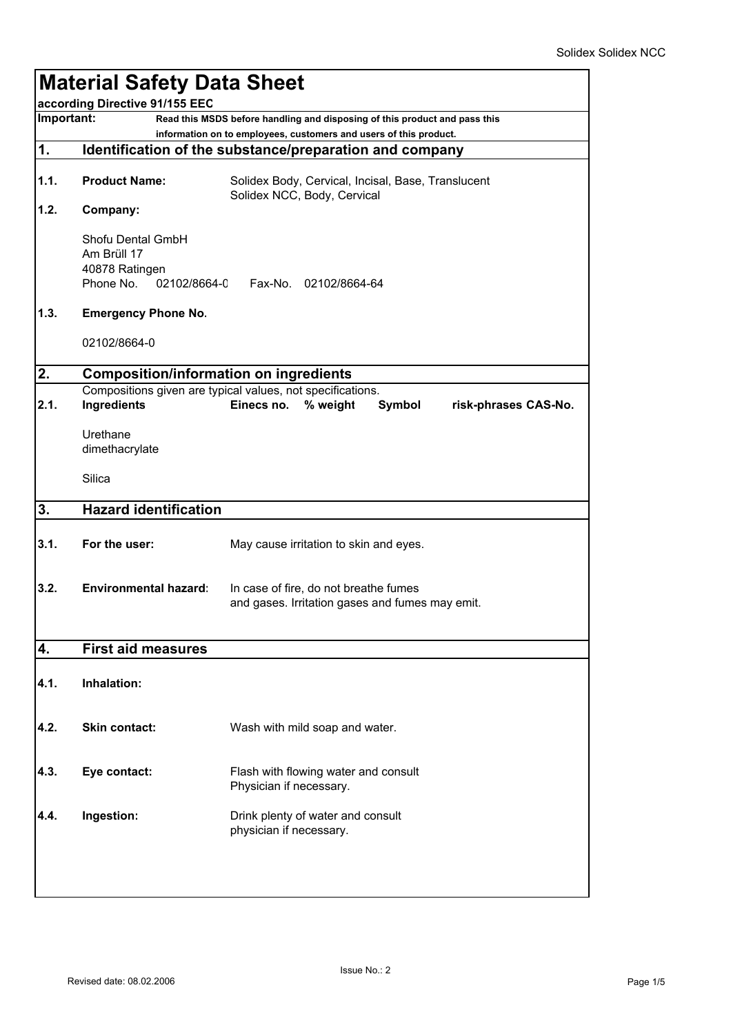|      | <b>Material Safety Data Sheet</b><br>according Directive 91/155 EEC<br>Important:<br>Read this MSDS before handling and disposing of this product and pass this |                                                                                   |  |  |  |
|------|-----------------------------------------------------------------------------------------------------------------------------------------------------------------|-----------------------------------------------------------------------------------|--|--|--|
|      |                                                                                                                                                                 |                                                                                   |  |  |  |
| 1.   | information on to employees, customers and users of this product.<br>Identification of the substance/preparation and company                                    |                                                                                   |  |  |  |
|      |                                                                                                                                                                 |                                                                                   |  |  |  |
| 1.1. | <b>Product Name:</b>                                                                                                                                            | Solidex Body, Cervical, Incisal, Base, Translucent<br>Solidex NCC, Body, Cervical |  |  |  |
| 1.2. | Company:                                                                                                                                                        |                                                                                   |  |  |  |
|      | Shofu Dental GmbH<br>Am Brüll 17                                                                                                                                |                                                                                   |  |  |  |
|      | 40878 Ratingen                                                                                                                                                  |                                                                                   |  |  |  |
|      | Phone No.<br>02102/8664-0                                                                                                                                       | Fax-No. 02102/8664-64                                                             |  |  |  |
| 1.3. | <b>Emergency Phone No.</b>                                                                                                                                      |                                                                                   |  |  |  |
|      | 02102/8664-0                                                                                                                                                    |                                                                                   |  |  |  |
| 2.   | <b>Composition/information on ingredients</b>                                                                                                                   |                                                                                   |  |  |  |
|      |                                                                                                                                                                 | Compositions given are typical values, not specifications.                        |  |  |  |
| 2.1. | Ingredients                                                                                                                                                     | % weight<br>Einecs no.<br>Symbol<br>risk-phrases CAS-No.                          |  |  |  |
|      | Urethane                                                                                                                                                        |                                                                                   |  |  |  |
|      | dimethacrylate                                                                                                                                                  |                                                                                   |  |  |  |
|      | Silica                                                                                                                                                          |                                                                                   |  |  |  |
| 3.   | <b>Hazard identification</b>                                                                                                                                    |                                                                                   |  |  |  |
| 3.1. | For the user:                                                                                                                                                   | May cause irritation to skin and eyes.                                            |  |  |  |
| 3.2. | Environmental hazard:                                                                                                                                           | In case of fire, do not breathe fumes                                             |  |  |  |
|      |                                                                                                                                                                 | and gases. Irritation gases and fumes may emit.                                   |  |  |  |
|      |                                                                                                                                                                 |                                                                                   |  |  |  |
| 4.   | <b>First aid measures</b>                                                                                                                                       |                                                                                   |  |  |  |
| 4.1. | Inhalation:                                                                                                                                                     |                                                                                   |  |  |  |
|      |                                                                                                                                                                 |                                                                                   |  |  |  |
| 4.2. | Skin contact:                                                                                                                                                   | Wash with mild soap and water.                                                    |  |  |  |
|      |                                                                                                                                                                 |                                                                                   |  |  |  |
| 4.3. | Eye contact:                                                                                                                                                    | Flash with flowing water and consult<br>Physician if necessary.                   |  |  |  |
|      |                                                                                                                                                                 |                                                                                   |  |  |  |
| 4.4. | Ingestion:                                                                                                                                                      | Drink plenty of water and consult<br>physician if necessary.                      |  |  |  |
|      |                                                                                                                                                                 |                                                                                   |  |  |  |
|      |                                                                                                                                                                 |                                                                                   |  |  |  |
|      |                                                                                                                                                                 |                                                                                   |  |  |  |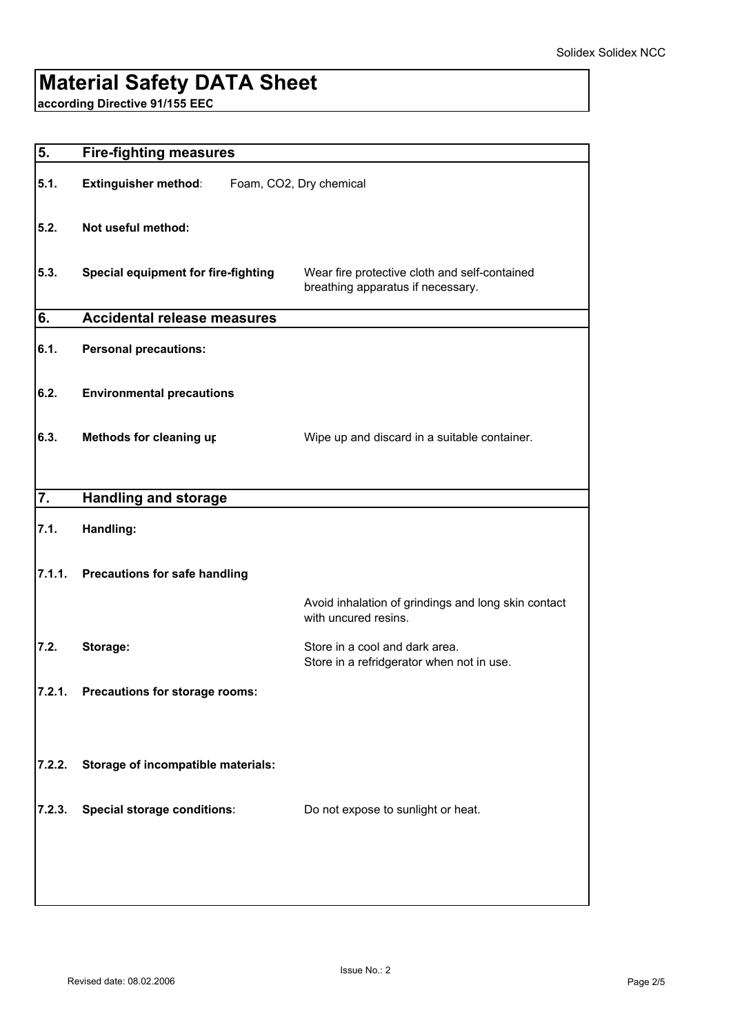# **Material Safety DATA Sheet**

**according Directive 91/155 EEC**

| 5.     | <b>Fire-fighting measures</b>              |                                                                                    |  |
|--------|--------------------------------------------|------------------------------------------------------------------------------------|--|
| 5.1.   | <b>Extinguisher method:</b>                | Foam, CO2, Dry chemical                                                            |  |
| 5.2.   | Not useful method:                         |                                                                                    |  |
| 5.3.   | <b>Special equipment for fire-fighting</b> | Wear fire protective cloth and self-contained<br>breathing apparatus if necessary. |  |
| 6.     | <b>Accidental release measures</b>         |                                                                                    |  |
| 6.1.   | <b>Personal precautions:</b>               |                                                                                    |  |
| 6.2.   | <b>Environmental precautions</b>           |                                                                                    |  |
| 6.3.   | Methods for cleaning up                    | Wipe up and discard in a suitable container.                                       |  |
| 7.     | <b>Handling and storage</b>                |                                                                                    |  |
|        |                                            |                                                                                    |  |
| 7.1.   | Handling:                                  |                                                                                    |  |
| 7.1.1. | <b>Precautions for safe handling</b>       |                                                                                    |  |
|        |                                            | Avoid inhalation of grindings and long skin contact<br>with uncured resins.        |  |
| 7.2.   | Storage:                                   | Store in a cool and dark area.<br>Store in a refridgerator when not in use.        |  |
|        | 7.2.1. Precautions for storage rooms:      |                                                                                    |  |
| 7.2.2. | Storage of incompatible materials:         |                                                                                    |  |
|        |                                            |                                                                                    |  |
| 7.2.3. | <b>Special storage conditions:</b>         | Do not expose to sunlight or heat.                                                 |  |
|        |                                            |                                                                                    |  |
|        |                                            |                                                                                    |  |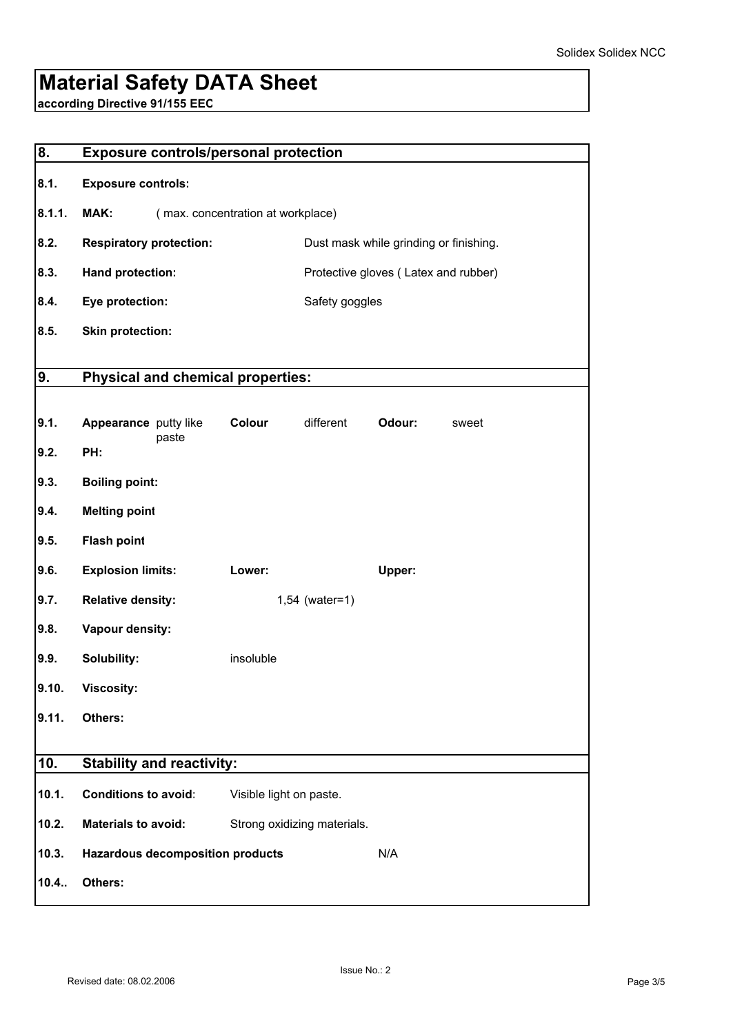# **Material Safety DATA Sheet**

**according Directive 91/155 EEC**

| 8.     | <b>Exposure controls/personal protection</b> |                         |                             |                                        |
|--------|----------------------------------------------|-------------------------|-----------------------------|----------------------------------------|
| 8.1.   | <b>Exposure controls:</b>                    |                         |                             |                                        |
| 8.1.1. | MAK:<br>(max. concentration at workplace)    |                         |                             |                                        |
| 8.2.   | <b>Respiratory protection:</b>               |                         |                             | Dust mask while grinding or finishing. |
| 8.3.   | Hand protection:                             |                         |                             | Protective gloves (Latex and rubber)   |
| 8.4.   | Eye protection:                              |                         | Safety goggles              |                                        |
| 8.5.   | <b>Skin protection:</b>                      |                         |                             |                                        |
| 9.     | <b>Physical and chemical properties:</b>     |                         |                             |                                        |
|        |                                              |                         |                             |                                        |
| 9.1.   | Appearance putty like<br>paste               | Colour                  | different                   | Odour:<br>sweet                        |
| 9.2.   | PH:                                          |                         |                             |                                        |
| 9.3.   | <b>Boiling point:</b>                        |                         |                             |                                        |
| 9.4.   | <b>Melting point</b>                         |                         |                             |                                        |
| 9.5.   | <b>Flash point</b>                           |                         |                             |                                        |
| 9.6.   | <b>Explosion limits:</b>                     | Lower:                  |                             | Upper:                                 |
| 9.7.   | <b>Relative density:</b>                     |                         | $1,54$ (water=1)            |                                        |
| 9.8.   | Vapour density:                              |                         |                             |                                        |
| 9.9.   | Solubility:                                  | insoluble               |                             |                                        |
| 9.10.  | <b>Viscosity:</b>                            |                         |                             |                                        |
| 9.11.  | Others:                                      |                         |                             |                                        |
| 10.    | <b>Stability and reactivity:</b>             |                         |                             |                                        |
| 10.1.  | <b>Conditions to avoid:</b>                  | Visible light on paste. |                             |                                        |
| 10.2.  | <b>Materials to avoid:</b>                   |                         | Strong oxidizing materials. |                                        |
| 10.3.  | <b>Hazardous decomposition products</b>      |                         |                             | N/A                                    |
| 10.4.  | Others:                                      |                         |                             |                                        |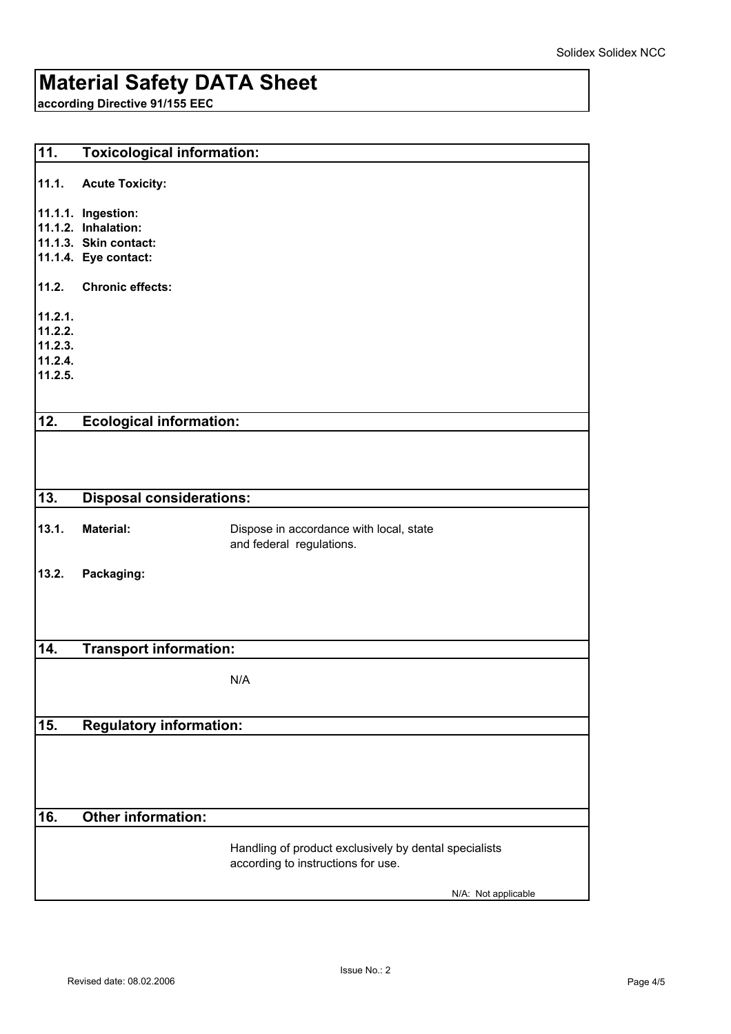# **Material Safety DATA Sheet**

**according Directive 91/155 EEC**

| $\overline{11}$ . | <b>Toxicological information:</b> |                                                       |  |
|-------------------|-----------------------------------|-------------------------------------------------------|--|
| 11.1.             | <b>Acute Toxicity:</b>            |                                                       |  |
|                   | 11.1.1. Ingestion:                |                                                       |  |
|                   | 11.1.2. Inhalation:               |                                                       |  |
|                   | 11.1.3. Skin contact:             |                                                       |  |
|                   | 11.1.4. Eye contact:              |                                                       |  |
| 11.2.             | <b>Chronic effects:</b>           |                                                       |  |
| 11.2.1.           |                                   |                                                       |  |
| 11.2.2.           |                                   |                                                       |  |
| 11.2.3.           |                                   |                                                       |  |
| 11.2.4.           |                                   |                                                       |  |
| 11.2.5.           |                                   |                                                       |  |
|                   |                                   |                                                       |  |
| 12.               | <b>Ecological information:</b>    |                                                       |  |
|                   |                                   |                                                       |  |
|                   |                                   |                                                       |  |
| 13.               | <b>Disposal considerations:</b>   |                                                       |  |
|                   |                                   |                                                       |  |
| 13.1.             | <b>Material:</b>                  | Dispose in accordance with local, state               |  |
|                   |                                   | and federal regulations.                              |  |
| 13.2.             | Packaging:                        |                                                       |  |
|                   |                                   |                                                       |  |
|                   |                                   |                                                       |  |
|                   |                                   |                                                       |  |
| 14.               |                                   |                                                       |  |
|                   | <b>Transport information:</b>     |                                                       |  |
|                   |                                   | N/A                                                   |  |
|                   |                                   |                                                       |  |
|                   |                                   |                                                       |  |
| 15.               | <b>Regulatory information:</b>    |                                                       |  |
|                   |                                   |                                                       |  |
|                   |                                   |                                                       |  |
|                   |                                   |                                                       |  |
|                   |                                   |                                                       |  |
| 16.               | <b>Other information:</b>         |                                                       |  |
|                   |                                   |                                                       |  |
|                   |                                   | Handling of product exclusively by dental specialists |  |
|                   |                                   | according to instructions for use.                    |  |
|                   |                                   | N/A: Not applicable                                   |  |